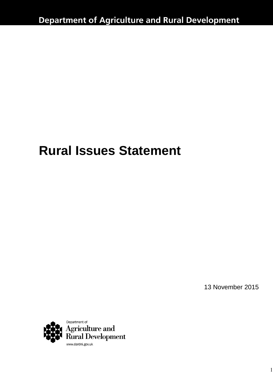# **Rural Issues Statement**

13 November 2015

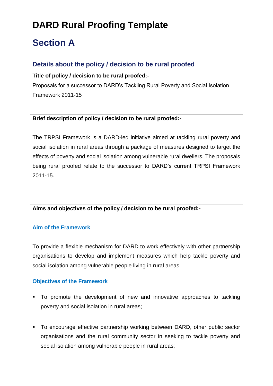# **DARD Rural Proofing Template**

# **Section A**

## **Details about the policy / decision to be rural proofed**

**Title of policy / decision to be rural proofed:-**

Proposals for a successor to DARD's Tackling Rural Poverty and Social Isolation Framework 2011-15

#### **Brief description of policy / decision to be rural proofed:-**

The TRPSI Framework is a DARD-led initiative aimed at tackling rural poverty and social isolation in rural areas through a package of measures designed to target the effects of poverty and social isolation among vulnerable rural dwellers. The proposals being rural proofed relate to the successor to DARD's current TRPSI Framework 2011-15.

#### **Aims and objectives of the policy / decision to be rural proofed:-**

#### **Aim of the Framework**

To provide a flexible mechanism for DARD to work effectively with other partnership organisations to develop and implement measures which help tackle poverty and social isolation among vulnerable people living in rural areas.

#### **Objectives of the Framework**

- To promote the development of new and innovative approaches to tackling poverty and social isolation in rural areas;
- To encourage effective partnership working between DARD, other public sector organisations and the rural community sector in seeking to tackle poverty and social isolation among vulnerable people in rural areas;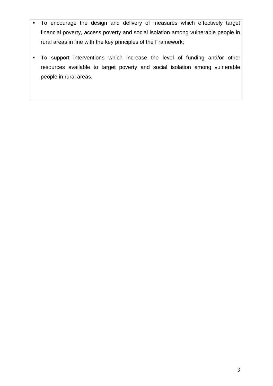- To encourage the design and delivery of measures which effectively target financial poverty, access poverty and social isolation among vulnerable people in rural areas in line with the key principles of the Framework;
- To support interventions which increase the level of funding and/or other resources available to target poverty and social isolation among vulnerable people in rural areas.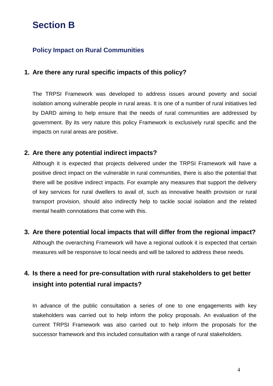# **Section B**

## **Policy Impact on Rural Communities**

#### **1. Are there any rural specific impacts of this policy?**

The TRPSI Framework was developed to address issues around poverty and social isolation among vulnerable people in rural areas. It is one of a number of rural initiatives led by DARD aiming to help ensure that the needs of rural communities are addressed by government. By its very nature this policy Framework is exclusively rural specific and the impacts on rural areas are positive.

#### **2. Are there any potential indirect impacts?**

Although it is expected that projects delivered under the TRPSI Framework will have a positive direct impact on the vulnerable in rural communities, there is also the potential that there will be positive indirect impacts. For example any measures that support the delivery of key services for rural dwellers to avail of, such as innovative health provision or rural transport provision, should also indirectly help to tackle social isolation and the related mental health connotations that come with this.

#### **3. Are there potential local impacts that will differ from the regional impact?**

Although the overarching Framework will have a regional outlook it is expected that certain measures will be responsive to local needs and will be tailored to address these needs.

# **4. Is there a need for pre-consultation with rural stakeholders to get better insight into potential rural impacts?**

In advance of the public consultation a series of one to one engagements with key stakeholders was carried out to help inform the policy proposals. An evaluation of the current TRPSI Framework was also carried out to help inform the proposals for the successor framework and this included consultation with a range of rural stakeholders.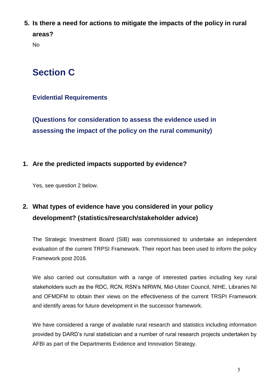**5. Is there a need for actions to mitigate the impacts of the policy in rural areas?**

No

# **Section C**

### **Evidential Requirements**

**(Questions for consideration to assess the evidence used in assessing the impact of the policy on the rural community)**

#### **1. Are the predicted impacts supported by evidence?**

Yes, see question 2 below.

# **2. What types of evidence have you considered in your policy development? (statistics/research/stakeholder advice)**

The Strategic Investment Board (SIB) was commissioned to undertake an independent evaluation of the current TRPSI Framework. Their report has been used to inform the policy Framework post 2016.

We also carried out consultation with a range of interested parties including key rural stakeholders such as the RDC, RCN, RSN's NIRWN, Mid-Ulster Council, NIHE, Libraries NI and OFMDFM to obtain their views on the effectiveness of the current TRSPI Framework and identify areas for future development in the successor framework.

We have considered a range of available rural research and statistics including information provided by DARD's rural statistician and a number of rural research projects undertaken by AFBI as part of the Departments Evidence and Innovation Strategy.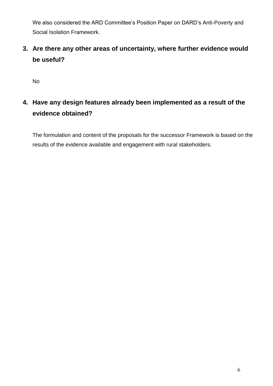We also considered the ARD Committee's Position Paper on DARD's Anti-Poverty and Social Isolation Framework.

**3. Are there any other areas of uncertainty, where further evidence would be useful?**

No

**4. Have any design features already been implemented as a result of the evidence obtained?**

The formulation and content of the proposals for the successor Framework is based on the results of the evidence available and engagement with rural stakeholders.